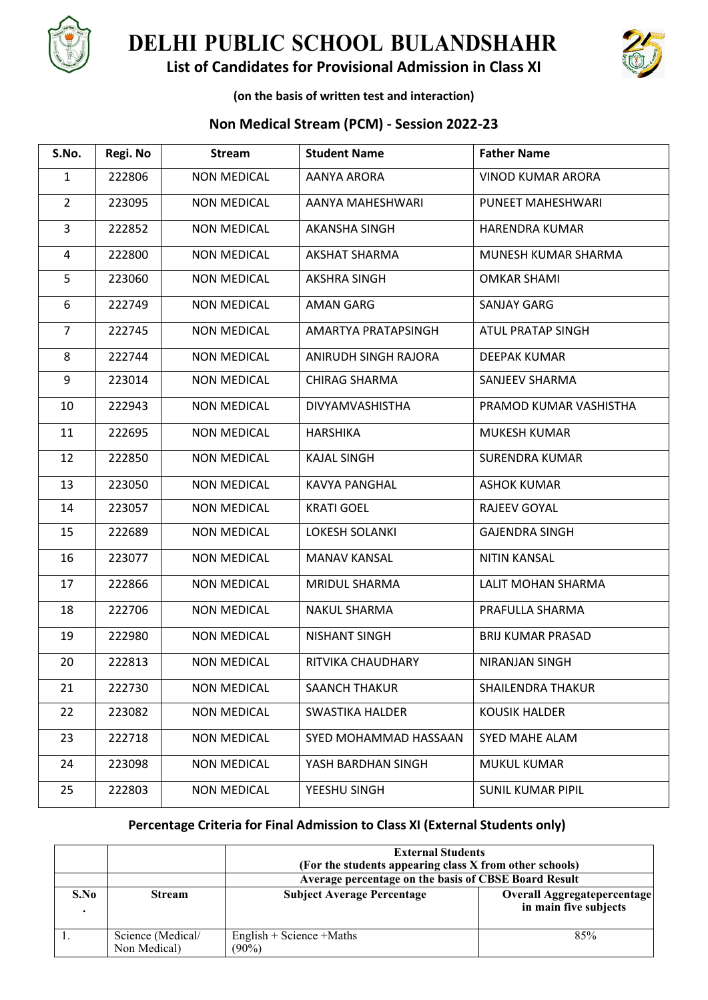

# **DELHI PUBLIC SCHOOL BULANDSHAHR**





### **(on the basis of written test and interaction)**

## **Non Medical Stream (PCM) - Session 2022-23**

| S.No.          | Regi. No | <b>Stream</b>      | <b>Student Name</b>    | <b>Father Name</b>       |
|----------------|----------|--------------------|------------------------|--------------------------|
| $\mathbf{1}$   | 222806   | <b>NON MEDICAL</b> | AANYA ARORA            | <b>VINOD KUMAR ARORA</b> |
| $\overline{2}$ | 223095   | <b>NON MEDICAL</b> | AANYA MAHESHWARI       | PUNEET MAHESHWARI        |
| 3              | 222852   | <b>NON MEDICAL</b> | AKANSHA SINGH          | <b>HARENDRA KUMAR</b>    |
| $\overline{4}$ | 222800   | <b>NON MEDICAL</b> | <b>AKSHAT SHARMA</b>   | MUNESH KUMAR SHARMA      |
| 5              | 223060   | <b>NON MEDICAL</b> | <b>AKSHRA SINGH</b>    | <b>OMKAR SHAMI</b>       |
| 6              | 222749   | <b>NON MEDICAL</b> | <b>AMAN GARG</b>       | <b>SANJAY GARG</b>       |
| $\overline{7}$ | 222745   | <b>NON MEDICAL</b> | AMARTYA PRATAPSINGH    | ATUL PRATAP SINGH        |
| 8              | 222744   | <b>NON MEDICAL</b> | ANIRUDH SINGH RAJORA   | <b>DEEPAK KUMAR</b>      |
| 9              | 223014   | <b>NON MEDICAL</b> | <b>CHIRAG SHARMA</b>   | SANJEEV SHARMA           |
| 10             | 222943   | <b>NON MEDICAL</b> | DIVYAMVASHISTHA        | PRAMOD KUMAR VASHISTHA   |
| 11             | 222695   | <b>NON MEDICAL</b> | <b>HARSHIKA</b>        | <b>MUKESH KUMAR</b>      |
| 12             | 222850   | <b>NON MEDICAL</b> | <b>KAJAL SINGH</b>     | <b>SURENDRA KUMAR</b>    |
| 13             | 223050   | <b>NON MEDICAL</b> | <b>KAVYA PANGHAL</b>   | <b>ASHOK KUMAR</b>       |
| 14             | 223057   | <b>NON MEDICAL</b> | <b>KRATI GOEL</b>      | RAJEEV GOYAL             |
| 15             | 222689   | <b>NON MEDICAL</b> | LOKESH SOLANKI         | <b>GAJENDRA SINGH</b>    |
| 16             | 223077   | <b>NON MEDICAL</b> | <b>MANAV KANSAL</b>    | <b>NITIN KANSAL</b>      |
| 17             | 222866   | <b>NON MEDICAL</b> | MRIDUL SHARMA          | LALIT MOHAN SHARMA       |
| 18             | 222706   | <b>NON MEDICAL</b> | <b>NAKUL SHARMA</b>    | PRAFULLA SHARMA          |
| 19             | 222980   | <b>NON MEDICAL</b> | <b>NISHANT SINGH</b>   | <b>BRIJ KUMAR PRASAD</b> |
| 20             | 222813   | <b>NON MEDICAL</b> | RITVIKA CHAUDHARY      | <b>NIRANJAN SINGH</b>    |
| 21             | 222730   | <b>NON MEDICAL</b> | <b>SAANCH THAKUR</b>   | SHAILENDRA THAKUR        |
| 22             | 223082   | <b>NON MEDICAL</b> | <b>SWASTIKA HALDER</b> | <b>KOUSIK HALDER</b>     |
| 23             | 222718   | <b>NON MEDICAL</b> | SYED MOHAMMAD HASSAAN  | SYED MAHE ALAM           |
| 24             | 223098   | <b>NON MEDICAL</b> | YASH BARDHAN SINGH     | MUKUL KUMAR              |
| 25             | 222803   | <b>NON MEDICAL</b> | YEESHU SINGH           | <b>SUNIL KUMAR PIPIL</b> |

# **Percentage Criteria for Final Admission to Class XI (External Students only)**

|      | <b>External Students</b><br>(For the students appearing class X from other schools) |                                                      |                                                             |  |
|------|-------------------------------------------------------------------------------------|------------------------------------------------------|-------------------------------------------------------------|--|
|      |                                                                                     | Average percentage on the basis of CBSE Board Result |                                                             |  |
| S.No | <b>Stream</b>                                                                       | <b>Subject Average Percentage</b>                    | <b>Overall Aggregatepercentage</b><br>in main five subjects |  |
|      | Science (Medical/<br>Non Medical)                                                   | English + Science + Maths<br>$(90\%)$                | 85%                                                         |  |